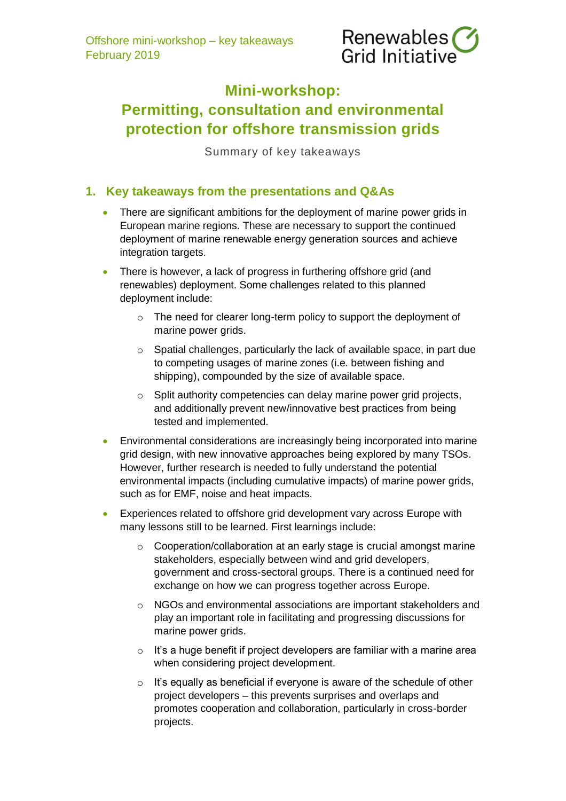

# **Mini-workshop: Permitting, consultation and environmental protection for offshore transmission grids**

Summary of key takeaways

### **1. Key takeaways from the presentations and Q&As**

- There are significant ambitions for the deployment of marine power grids in European marine regions. These are necessary to support the continued deployment of marine renewable energy generation sources and achieve integration targets.
- There is however, a lack of progress in furthering offshore grid (and renewables) deployment. Some challenges related to this planned deployment include:
	- o The need for clearer long-term policy to support the deployment of marine power grids.
	- o Spatial challenges, particularly the lack of available space, in part due to competing usages of marine zones (i.e. between fishing and shipping), compounded by the size of available space.
	- o Split authority competencies can delay marine power grid projects, and additionally prevent new/innovative best practices from being tested and implemented.
- Environmental considerations are increasingly being incorporated into marine grid design, with new innovative approaches being explored by many TSOs. However, further research is needed to fully understand the potential environmental impacts (including cumulative impacts) of marine power grids, such as for EMF, noise and heat impacts.
- Experiences related to offshore grid development vary across Europe with many lessons still to be learned. First learnings include:
	- o Cooperation/collaboration at an early stage is crucial amongst marine stakeholders, especially between wind and grid developers, government and cross-sectoral groups. There is a continued need for exchange on how we can progress together across Europe.
	- o NGOs and environmental associations are important stakeholders and play an important role in facilitating and progressing discussions for marine power grids.
	- $\circ$  It's a huge benefit if project developers are familiar with a marine area when considering project development.
	- o It's equally as beneficial if everyone is aware of the schedule of other project developers – this prevents surprises and overlaps and promotes cooperation and collaboration, particularly in cross-border projects.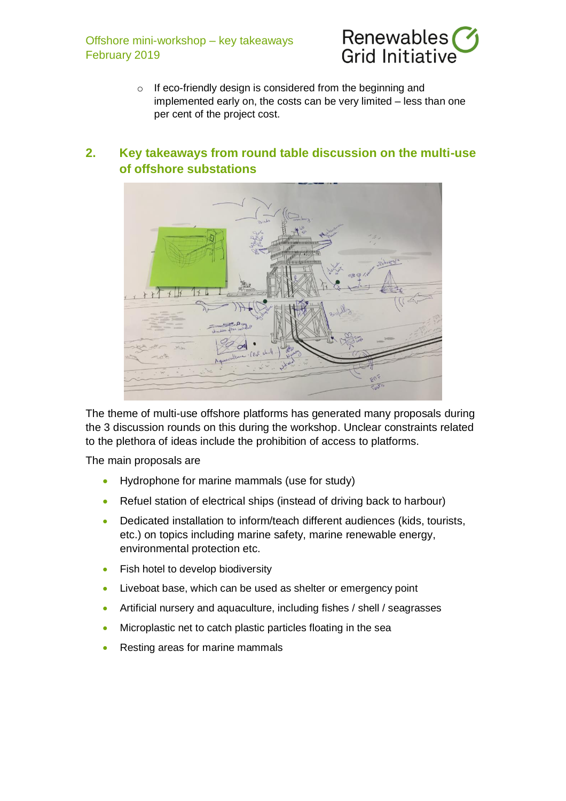Offshore mini-workshop – key takeaways February 2019



o If eco-friendly design is considered from the beginning and implemented early on, the costs can be very limited – less than one per cent of the project cost.

## **2. Key takeaways from round table discussion on the multi-use of offshore substations**



The theme of multi-use offshore platforms has generated many proposals during the 3 discussion rounds on this during the workshop. Unclear constraints related to the plethora of ideas include the prohibition of access to platforms.

The main proposals are

- Hydrophone for marine mammals (use for study)
- Refuel station of electrical ships (instead of driving back to harbour)
- Dedicated installation to inform/teach different audiences (kids, tourists, etc.) on topics including marine safety, marine renewable energy, environmental protection etc.
- Fish hotel to develop biodiversity
- Liveboat base, which can be used as shelter or emergency point
- Artificial nursery and aquaculture, including fishes / shell / seagrasses
- Microplastic net to catch plastic particles floating in the sea
- Resting areas for marine mammals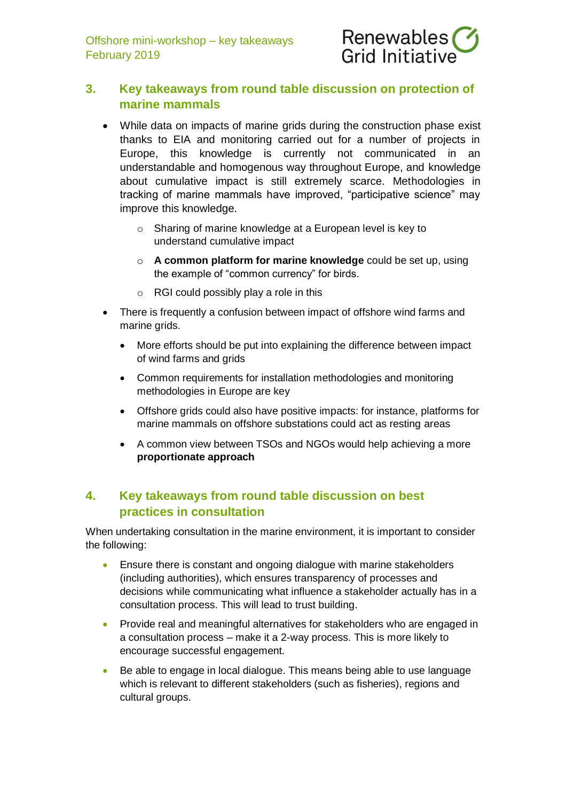

## **3. Key takeaways from round table discussion on protection of marine mammals**

- While data on impacts of marine grids during the construction phase exist thanks to EIA and monitoring carried out for a number of projects in Europe, this knowledge is currently not communicated in an understandable and homogenous way throughout Europe, and knowledge about cumulative impact is still extremely scarce. Methodologies in tracking of marine mammals have improved, "participative science" may improve this knowledge.
	- o Sharing of marine knowledge at a European level is key to understand cumulative impact
	- o **A common platform for marine knowledge** could be set up, using the example of "common currency" for birds.
	- o RGI could possibly play a role in this
- There is frequently a confusion between impact of offshore wind farms and marine grids.
	- More efforts should be put into explaining the difference between impact of wind farms and grids
	- Common requirements for installation methodologies and monitoring methodologies in Europe are key
	- Offshore grids could also have positive impacts: for instance, platforms for marine mammals on offshore substations could act as resting areas
	- A common view between TSOs and NGOs would help achieving a more **proportionate approach**

## **4. Key takeaways from round table discussion on best practices in consultation**

When undertaking consultation in the marine environment, it is important to consider the following:

- Ensure there is constant and ongoing dialogue with marine stakeholders (including authorities), which ensures transparency of processes and decisions while communicating what influence a stakeholder actually has in a consultation process. This will lead to trust building.
- Provide real and meaningful alternatives for stakeholders who are engaged in a consultation process – make it a 2-way process. This is more likely to encourage successful engagement.
- Be able to engage in local dialogue. This means being able to use language which is relevant to different stakeholders (such as fisheries), regions and cultural groups.